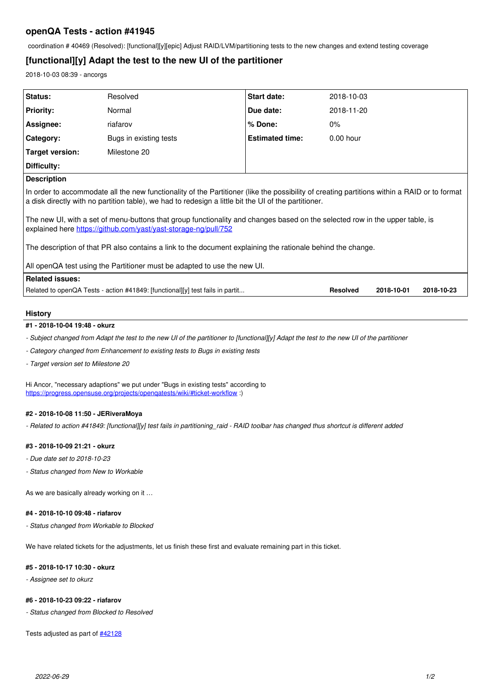## **openQA Tests - action #41945**

coordination # 40469 (Resolved): [functional][y][epic] Adjust RAID/LVM/partitioning tests to the new changes and extend testing coverage

# **[functional][y] Adapt the test to the new UI of the partitioner**

2018-10-03 08:39 - ancorgs

| Status:                                                                                                                                                                                                                                              | Resolved               | Start date:            | 2018-10-03      |            |            |
|------------------------------------------------------------------------------------------------------------------------------------------------------------------------------------------------------------------------------------------------------|------------------------|------------------------|-----------------|------------|------------|
| <b>Priority:</b>                                                                                                                                                                                                                                     | Normal                 | Due date:              | 2018-11-20      |            |            |
| Assignee:                                                                                                                                                                                                                                            | riafarov               | % Done:                | $0\%$           |            |            |
| Category:                                                                                                                                                                                                                                            | Bugs in existing tests | <b>Estimated time:</b> | $0.00$ hour     |            |            |
| Target version:                                                                                                                                                                                                                                      | Milestone 20           |                        |                 |            |            |
| Difficulty:                                                                                                                                                                                                                                          |                        |                        |                 |            |            |
| <b>Description</b>                                                                                                                                                                                                                                   |                        |                        |                 |            |            |
| In order to accommodate all the new functionality of the Partitioner (like the possibility of creating partitions within a RAID or to format<br>a disk directly with no partition table), we had to redesign a little bit the UI of the partitioner. |                        |                        |                 |            |            |
| The new UI, with a set of menu-buttons that group functionality and changes based on the selected row in the upper table, is<br>explained here https://github.com/yast/yast-storage-ng/pull/752                                                      |                        |                        |                 |            |            |
| The description of that PR also contains a link to the document explaining the rationale behind the change.                                                                                                                                          |                        |                        |                 |            |            |
| All openQA test using the Partitioner must be adapted to use the new UI.                                                                                                                                                                             |                        |                        |                 |            |            |
| <b>Related issues:</b>                                                                                                                                                                                                                               |                        |                        |                 |            |            |
| Related to openQA Tests - action #41849: [functional][y] test fails in partit                                                                                                                                                                        |                        |                        | <b>Resolved</b> | 2018-10-01 | 2018-10-23 |
|                                                                                                                                                                                                                                                      |                        |                        |                 |            |            |

#### **History**

### **#1 - 2018-10-04 19:48 - okurz**

*- Subject changed from Adapt the test to the new UI of the partitioner to [functional][y] Adapt the test to the new UI of the partitioner*

*- Category changed from Enhancement to existing tests to Bugs in existing tests*

*- Target version set to Milestone 20*

Hi Ancor, "necessary adaptions" we put under "Bugs in existing tests" according to https://progress.opensuse.org/projects/opengatests/wiki/#ticket-workflow :)

#### **#2 - 2018-10-08 11:50 - JERiveraMoya**

*- Related to action #41849: [functional][y] test fails in partitioning\_raid - RAID toolbar has changed thus shortcut is different added*

#### **#3 - 2018-10-09 21:21 - okurz**

- *Due date set to 2018-10-23*
- *Status changed from New to Workable*

As we are basically already working on it …

#### **#4 - 2018-10-10 09:48 - riafarov**

*- Status changed from Workable to Blocked*

We have related tickets for the adjustments, let us finish these first and evaluate remaining part in this ticket.

#### **#5 - 2018-10-17 10:30 - okurz**

*- Assignee set to okurz*

### **#6 - 2018-10-23 09:22 - riafarov**

*- Status changed from Blocked to Resolved*

Tests adjusted as part of **#42128**